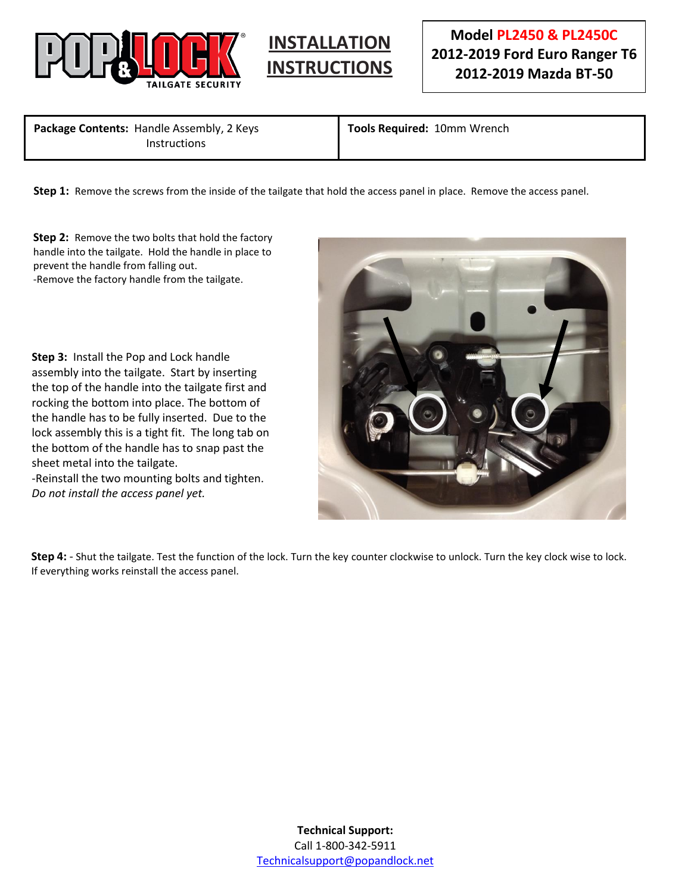



**Package Contents:** Handle Assembly, 2 Keys **Instructions** 

 $\overline{\phantom{a}}$ 

**Tools Required:** 10mm Wrench

**Step 1:** Remove the screws from the inside of the tailgate that hold the access panel in place. Remove the access panel.

**Step 2:** Remove the two bolts that hold the factory handle into the tailgate. Hold the handle in place to prevent the handle from falling out. -Remove the factory handle from the tailgate.

**Step 3:** Install the Pop and Lock handle assembly into the tailgate. Start by inserting the top of the handle into the tailgate first and rocking the bottom into place. The bottom of the handle has to be fully inserted. Due to the lock assembly this is a tight fit. The long tab on the bottom of the handle has to snap past the sheet metal into the tailgate.

-Reinstall the two mounting bolts and tighten. *Do not install the access panel yet.*



**Step 4:** - Shut the tailgate. Test the function of the lock. Turn the key counter clockwise to unlock. Turn the key clock wise to lock. If everything works reinstall the access panel.